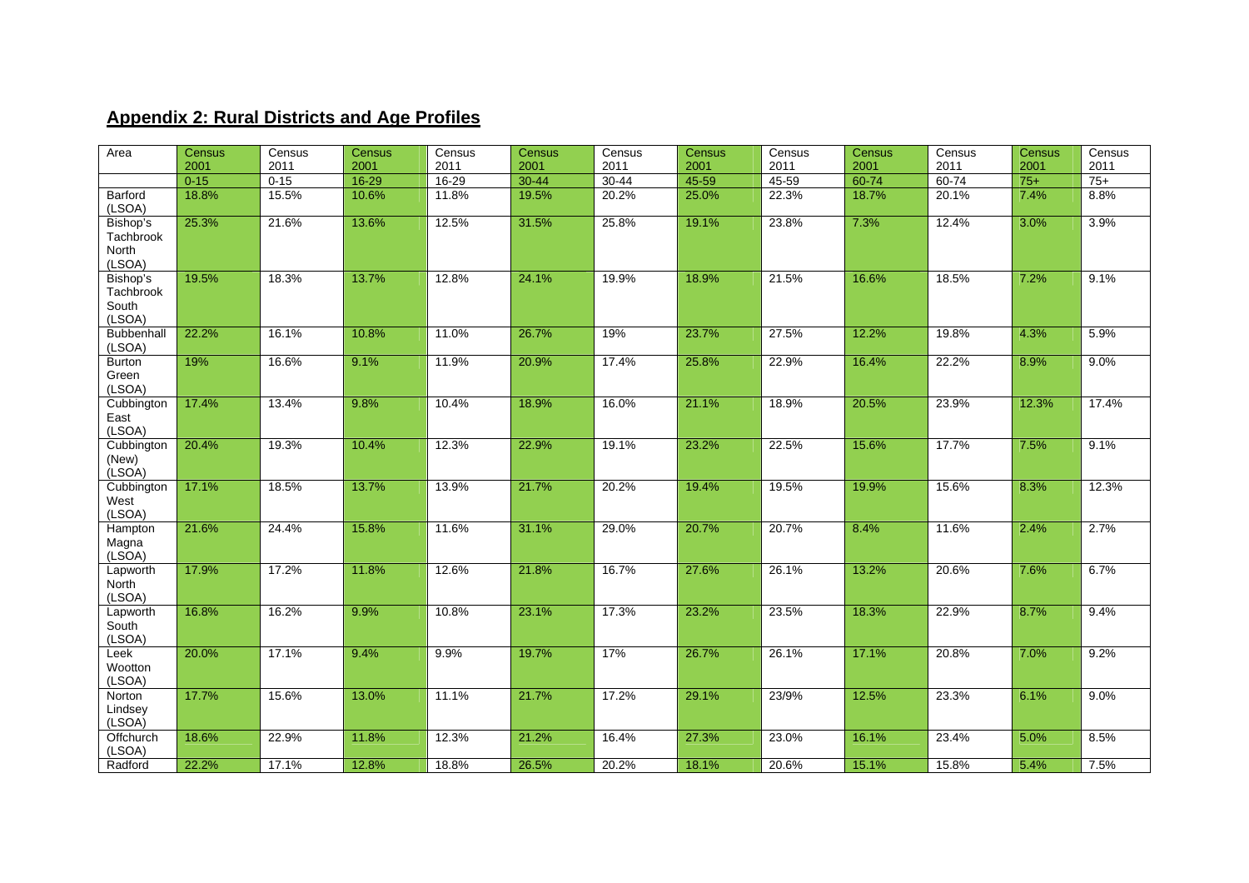## **Appendix 2: Rural Districts and Age Profiles**

| Area                                            | <b>Census</b> | Census   | <b>Census</b> | Census    | Census    | Census    | <b>Census</b> | Census    | Census    | Census    | Census | Census |
|-------------------------------------------------|---------------|----------|---------------|-----------|-----------|-----------|---------------|-----------|-----------|-----------|--------|--------|
|                                                 | 2001          | 2011     | 2001          | 2011      | 2001      | 2011      | 2001          | 2011      | 2001      | 2011      | 2001   | 2011   |
|                                                 | $0 - 15$      | $0 - 15$ | $16 - 29$     | $16 - 29$ | $30 - 44$ | $30 - 44$ | 45-59         | $45 - 59$ | $60 - 74$ | $60 - 74$ | $75+$  | $75+$  |
| Barford<br>(LSOA)                               | 18.8%         | 15.5%    | 10.6%         | 11.8%     | 19.5%     | 20.2%     | 25.0%         | 22.3%     | 18.7%     | 20.1%     | 7.4%   | 8.8%   |
| Bishop's<br>Tachbrook<br><b>North</b><br>(LSOA) | 25.3%         | 21.6%    | 13.6%         | 12.5%     | 31.5%     | 25.8%     | 19.1%         | 23.8%     | 7.3%      | 12.4%     | 3.0%   | 3.9%   |
| Bishop's<br>Tachbrook<br>South<br>(LSOA)        | 19.5%         | 18.3%    | 13.7%         | 12.8%     | 24.1%     | 19.9%     | 18.9%         | 21.5%     | 16.6%     | 18.5%     | 7.2%   | 9.1%   |
| <b>Bubbenhall</b><br>(LSOA)                     | 22.2%         | 16.1%    | 10.8%         | 11.0%     | 26.7%     | 19%       | 23.7%         | 27.5%     | 12.2%     | 19.8%     | 4.3%   | 5.9%   |
| <b>Burton</b><br>Green<br>(LSOA)                | 19%           | 16.6%    | 9.1%          | 11.9%     | 20.9%     | 17.4%     | 25.8%         | 22.9%     | 16.4%     | 22.2%     | 8.9%   | 9.0%   |
| Cubbington<br>East<br>(LSOA)                    | 17.4%         | 13.4%    | 9.8%          | 10.4%     | 18.9%     | 16.0%     | 21.1%         | 18.9%     | 20.5%     | 23.9%     | 12.3%  | 17.4%  |
| Cubbington<br>(New)<br>(LSOA)                   | 20.4%         | 19.3%    | 10.4%         | 12.3%     | 22.9%     | 19.1%     | 23.2%         | 22.5%     | 15.6%     | 17.7%     | 7.5%   | 9.1%   |
| Cubbington<br>West<br>(LSOA)                    | 17.1%         | 18.5%    | 13.7%         | 13.9%     | 21.7%     | 20.2%     | 19.4%         | 19.5%     | 19.9%     | 15.6%     | 8.3%   | 12.3%  |
| Hampton<br>Magna<br>(LSOA)                      | 21.6%         | 24.4%    | 15.8%         | 11.6%     | 31.1%     | 29.0%     | 20.7%         | 20.7%     | 8.4%      | 11.6%     | 2.4%   | 2.7%   |
| Lapworth<br>North<br>(LSOA)                     | 17.9%         | 17.2%    | 11.8%         | 12.6%     | 21.8%     | 16.7%     | 27.6%         | 26.1%     | 13.2%     | 20.6%     | 7.6%   | 6.7%   |
| Lapworth<br>South<br>(LSOA)                     | 16.8%         | 16.2%    | 9.9%          | 10.8%     | 23.1%     | 17.3%     | 23.2%         | 23.5%     | 18.3%     | 22.9%     | 8.7%   | 9.4%   |
| Leek<br>Wootton<br>(LSOA)                       | 20.0%         | 17.1%    | 9.4%          | 9.9%      | 19.7%     | 17%       | 26.7%         | 26.1%     | 17.1%     | 20.8%     | 7.0%   | 9.2%   |
| Norton<br>Lindsey<br>(LSOA)                     | 17.7%         | 15.6%    | 13.0%         | 11.1%     | 21.7%     | 17.2%     | 29.1%         | 23/9%     | 12.5%     | 23.3%     | 6.1%   | 9.0%   |
| Offchurch<br>(LSOA)                             | 18.6%         | 22.9%    | 11.8%         | 12.3%     | 21.2%     | 16.4%     | 27.3%         | 23.0%     | 16.1%     | 23.4%     | 5.0%   | 8.5%   |
| Radford                                         | 22.2%         | 17.1%    | 12.8%         | 18.8%     | 26.5%     | 20.2%     | 18.1%         | 20.6%     | 15.1%     | 15.8%     | 5.4%   | 7.5%   |